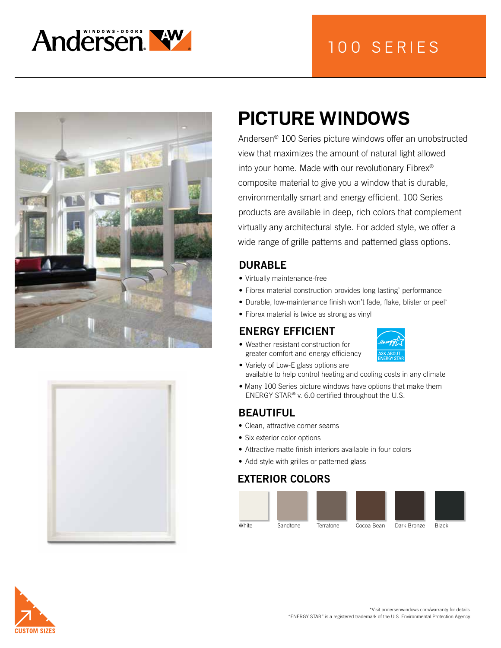

## 100 SERIES





# **PICTURE WINDOWS**

Andersen® 100 Series picture windows offer an unobstructed view that maximizes the amount of natural light allowed into your home. Made with our revolutionary Fibrex® composite material to give you a window that is durable, environmentally smart and energy efficient. 100 Series products are available in deep, rich colors that complement virtually any architectural style. For added style, we offer a wide range of grille patterns and patterned glass options.

## DURABLE

- Virtually maintenance-free
- Fibrex material construction provides long-lasting\* performance
- Durable, low-maintenance finish won't fade, flake, blister or peel\*
- Fibrex material is twice as strong as vinyl

## ENERGY EFFICIENT

• Weather-resistant construction for greater comfort and energy efficiency



- Variety of Low-E glass options are available to help control heating and cooling costs in any climate
- Many 100 Series picture windows have options that make them ENERGY STAR® v. 6.0 certified throughout the U.S.

## BEAUTIFUL

- Clean, attractive corner seams
- Six exterior color options
- Attractive matte finish interiors available in four colors
- Add style with grilles or patterned glass

## EXTERIOR COLORS